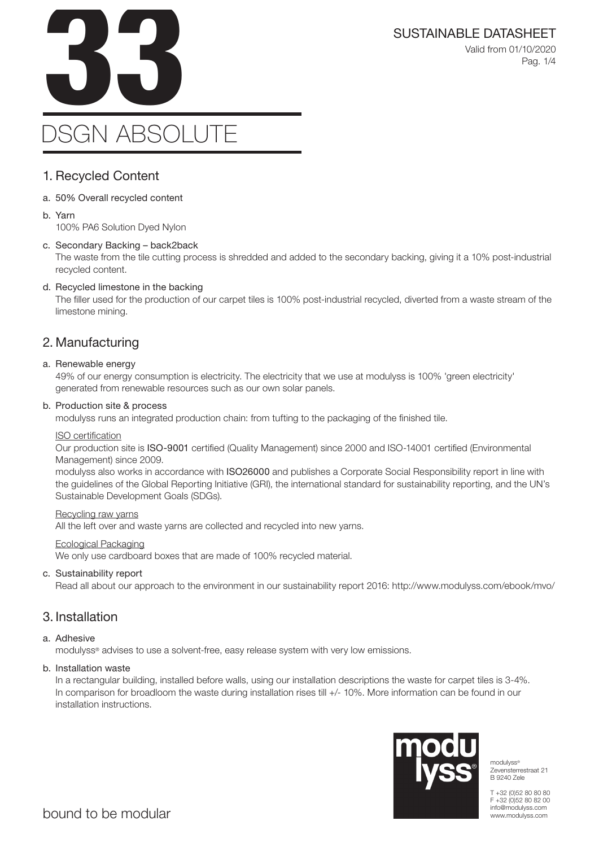

Valid from 01/10/2020 Pag. 1/4

# 1. Recycled Content

- a. 50% Overall recycled content
- b. Yarn

100% PA6 Solution Dyed Nylon

#### c. Secondary Backing – back2back

The waste from the tile cutting process is shredded and added to the secondary backing, giving it a 10% post-industrial recycled content.

#### d. Recycled limestone in the backing

The filler used for the production of our carpet tiles is 100% post-industrial recycled, diverted from a waste stream of the limestone mining.

# 2. Manufacturing

#### a. Renewable energy

49% of our energy consumption is electricity. The electricity that we use at modulyss is 100% 'green electricity' generated from renewable resources such as our own solar panels.

#### b. Production site & process

modulyss runs an integrated production chain: from tufting to the packaging of the finished tile.

#### ISO certification

Our production site is ISO-9001 certified (Quality Management) since 2000 and ISO-14001 certified (Environmental Management) since 2009.

modulyss also works in accordance with ISO26000 and publishes a Corporate Social Responsibility report in line with the guidelines of the Global Reporting Initiative (GRI), the international standard for sustainability reporting, and the UN's Sustainable Development Goals (SDGs).

#### Recycling raw yarns

All the left over and waste yarns are collected and recycled into new yarns.

#### Ecological Packaging

We only use cardboard boxes that are made of 100% recycled material.

#### c. Sustainability report

Read all about our approach to the environment in our sustainability report 2016: http://www.modulyss.com/ebook/mvo/

## 3. Installation

#### a. Adhesive

modulyss® advises to use a solvent-free, easy release system with very low emissions.

#### b. Installation waste

In a rectangular building, installed before walls, using our installation descriptions the waste for carpet tiles is 3-4%. In comparison for broadloom the waste during installation rises till +/- 10%. More information can be found in our installation instructions.



modulyss® Zevensterrestraat 21 B 9240 Zele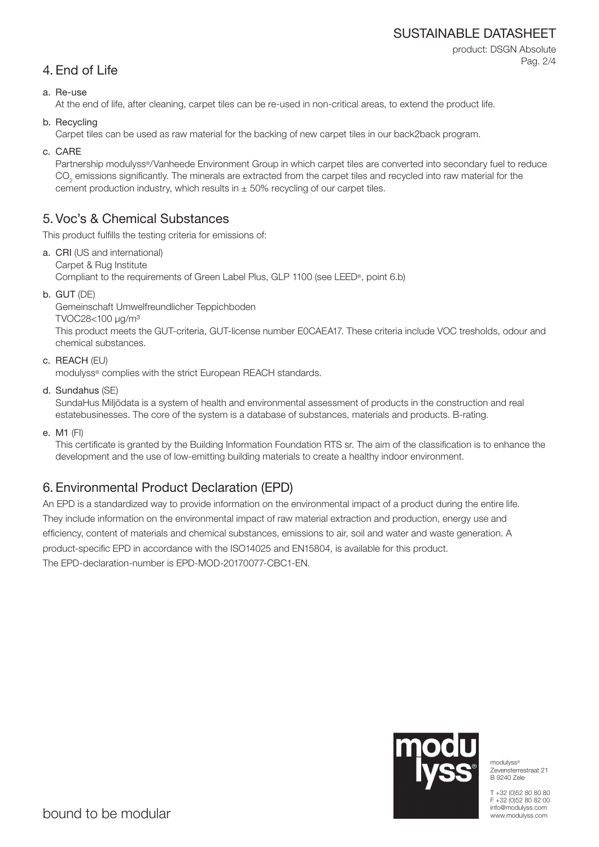# SUSTAINABLE DATASHEET

product: DSGN Absolute Pag. 2/4

# 4. End of Life

## a. Re-use

At the end of life, after cleaning, carpet tiles can be re-used in non-critical areas, to extend the product life.

b. Recycling

Carpet tiles can be used as raw material for the backing of new carpet tiles in our back2back program.

c. CARE

Partnership modulyss®/Vanheede Environment Group in which carpet tiles are converted into secondary fuel to reduce  $\mathrm{CO}_2$  emissions significantly. The minerals are extracted from the carpet tiles and recycled into raw material for the cement production industry, which results in  $\pm$  50% recycling of our carpet tiles.

# 5. Voc's & Chemical Substances

This product fulfills the testing criteria for emissions of:

- a. CRI (US and international) Carpet & Rug Institute Compliant to the requirements of Green Label Plus, GLP 1100 (see LEED®, point 6.b)
- b. GUT (DE)

Gemeinschaft Umwelfreundlicher Teppichboden TVOC28<100 μg/m³ This product meets the GUT-criteria, GUT-license number E0CAEA17. These criteria include VOC tresholds, odour and chemical substances.

c. REACH (EU)

modulyss® complies with the strict European REACH standards.

d. Sundahus (SE)

SundaHus Miljödata is a system of health and environmental assessment of products in the construction and real estatebusinesses. The core of the system is a database of substances, materials and products. B-rating.

e. M1 (FI)

This certificate is granted by the Building Information Foundation RTS sr. The aim of the classification is to enhance the development and the use of low-emitting building materials to create a healthy indoor environment.

# 6. Environmental Product Declaration (EPD)

An EPD is a standardized way to provide information on the environmental impact of a product during the entire life. They include information on the environmental impact of raw material extraction and production, energy use and efficiency, content of materials and chemical substances, emissions to air, soil and water and waste generation. A product-specific EPD in accordance with the ISO14025 and EN15804, is available for this product. The EPD-declaration-number is EPD-MOD-20170077-CBC1-EN.



modulyss® Zevensterrestraat 21 B 9240 Zele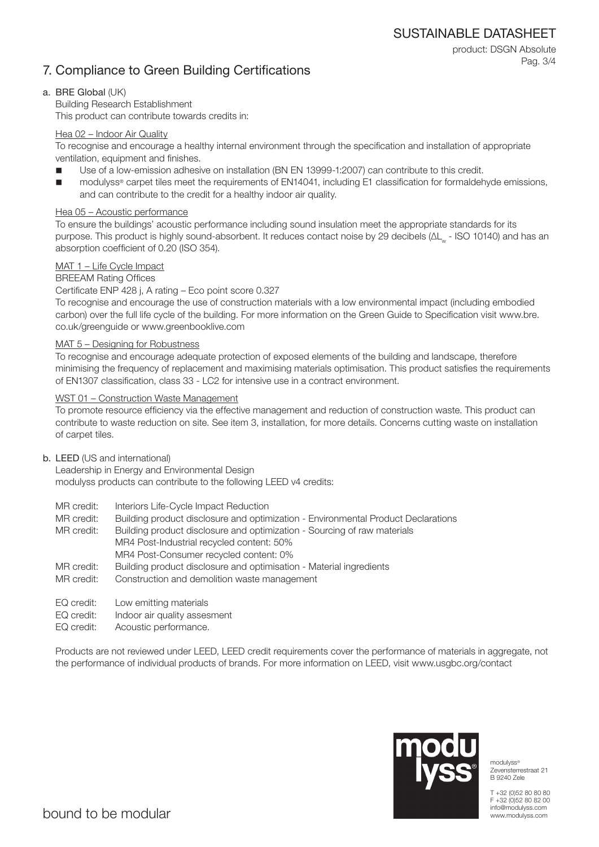SUSTAINABLE DATASHEET

product: DSGN Absolute

Pag. 3/4

# 7. Compliance to Green Building Certifications

### a. BRE Global (UK)

Building Research Establishment This product can contribute towards credits in:

### Hea 02 – Indoor Air Quality

To recognise and encourage a healthy internal environment through the specification and installation of appropriate ventilation, equipment and finishes.

- Use of a low-emission adhesive on installation (BN EN 13999-1:2007) can contribute to this credit.
- modulyss® carpet tiles meet the requirements of EN14041, including E1 classification for formaldehyde emissions, and can contribute to the credit for a healthy indoor air quality.

## Hea 05 – Acoustic performance

To ensure the buildings' acoustic performance including sound insulation meet the appropriate standards for its purpose. This product is highly sound-absorbent. It reduces contact noise by 29 decibels (ΔL<sub>w</sub> - ISO 10140) and has an absorption coefficient of 0.20 (ISO 354).

## MAT 1 – Life Cycle Impact

### BREEAM Rating Offices

### Certificate ENP 428 j, A rating – Eco point score 0.327

To recognise and encourage the use of construction materials with a low environmental impact (including embodied carbon) over the full life cycle of the building. For more information on the Green Guide to Specification visit www.bre. co.uk/greenguide or www.greenbooklive.com

### MAT 5 – Designing for Robustness

To recognise and encourage adequate protection of exposed elements of the building and landscape, therefore minimising the frequency of replacement and maximising materials optimisation. This product satisfies the requirements of EN1307 classification, class 33 - LC2 for intensive use in a contract environment.

### WST 01 – Construction Waste Management

To promote resource efficiency via the effective management and reduction of construction waste. This product can contribute to waste reduction on site. See item 3, installation, for more details. Concerns cutting waste on installation of carpet tiles.

### b. LEED (US and international)

Leadership in Energy and Environmental Design modulyss products can contribute to the following LEED v4 credits:

- MR credit: Interiors Life-Cycle Impact Reduction
- MR credit: Building product disclosure and optimization Environmental Product Declarations

MR credit: Building product disclosure and optimization - Sourcing of raw materials MR4 Post-Industrial recycled content: 50% MR4 Post-Consumer recycled content: 0%

- MR credit: Building product disclosure and optimisation Material ingredients
- MR credit: Construction and demolition waste management
- EQ credit: Low emitting materials
- EQ credit: Indoor air quality assesment
- EQ credit: Acoustic performance.

Products are not reviewed under LEED, LEED credit requirements cover the performance of materials in aggregate, not the performance of individual products of brands. For more information on LEED, visit www.usgbc.org/contact



modulyss® Zevensterrestraat 21 B 9240 Zele